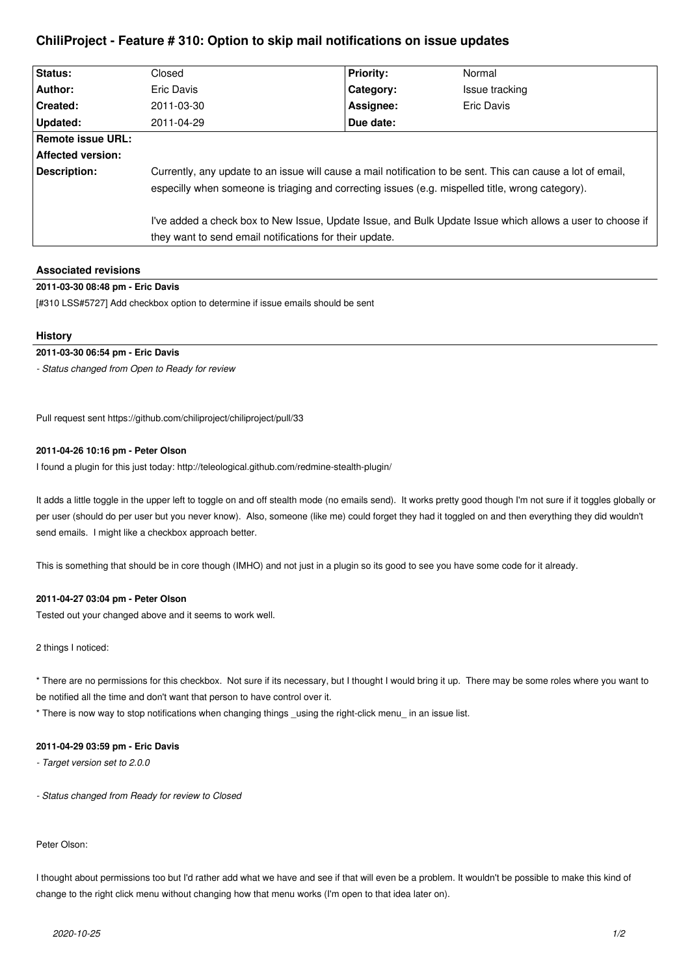# **ChiliProject - Feature # 310: Option to skip mail notifications on issue updates**

| <b>Status:</b>           | Closed                                                                                                                                                                                                          | <b>Priority:</b> | Normal         |
|--------------------------|-----------------------------------------------------------------------------------------------------------------------------------------------------------------------------------------------------------------|------------------|----------------|
| Author:                  | Eric Davis                                                                                                                                                                                                      | Category:        | Issue tracking |
| Created:                 | 2011-03-30                                                                                                                                                                                                      | Assignee:        | Eric Davis     |
| Updated:                 | 2011-04-29                                                                                                                                                                                                      | Due date:        |                |
| <b>Remote issue URL:</b> |                                                                                                                                                                                                                 |                  |                |
| <b>Affected version:</b> |                                                                                                                                                                                                                 |                  |                |
| Description:             | Currently, any update to an issue will cause a mail notification to be sent. This can cause a lot of email,<br>especilly when someone is triaging and correcting issues (e.g. mispelled title, wrong category). |                  |                |
|                          | I've added a check box to New Issue, Update Issue, and Bulk Update Issue which allows a user to choose if<br>they want to send email notifications for their update.                                            |                  |                |

## **Associated revisions**

# **2011-03-30 08:48 pm - Eric Davis**

[#310 LSS#5727] Add checkbox option to determine if issue emails should be sent

#### **History**

#### **2011-03-30 06:54 pm - Eric Davis**

*- Status changed from Open to Ready for review*

Pull request sent https://github.com/chiliproject/chiliproject/pull/33

### **2011-04-26 10:16 pm - Peter Olson**

I found a plugin for this just today: http://teleological.github.com/redmine-stealth-plugin/

It adds a little toggle in the upper left to toggle on and off stealth mode (no emails send). It works pretty good though I'm not sure if it toggles globally or per user (should do per user but you never know). Also, someone (like me) could forget they had it toggled on and then everything they did wouldn't send emails. I might like a checkbox approach better.

This is something that should be in core though (IMHO) and not just in a plugin so its good to see you have some code for it already.

### **2011-04-27 03:04 pm - Peter Olson**

Tested out your changed above and it seems to work well.

2 things I noticed:

\* There are no permissions for this checkbox. Not sure if its necessary, but I thought I would bring it up. There may be some roles where you want to be notified all the time and don't want that person to have control over it.

\* There is now way to stop notifications when changing things \_using the right-click menu\_ in an issue list.

### **2011-04-29 03:59 pm - Eric Davis**

*- Target version set to 2.0.0*

*- Status changed from Ready for review to Closed*

#### Peter Olson:

I thought about permissions too but I'd rather add what we have and see if that will even be a problem. It wouldn't be possible to make this kind of change to the right click menu without changing how that menu works (I'm open to that idea later on).